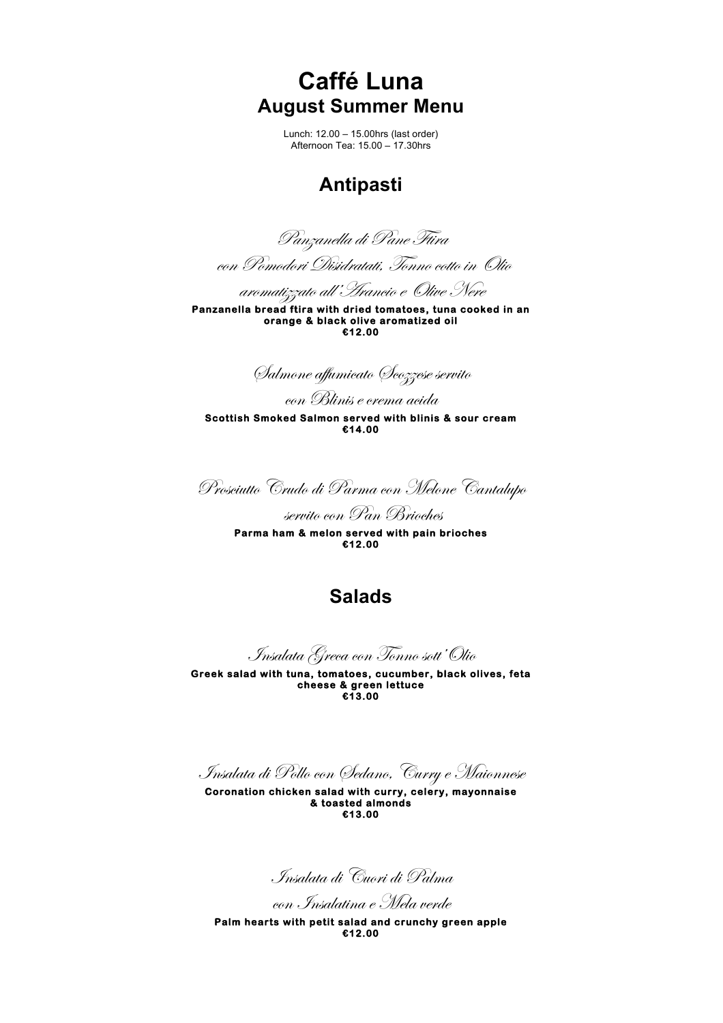**Caffé Luna August Summer Menu**

> Lunch: 12.00 – 15.00hrs (last order) Afternoon Tea: 15.00 – 17.30hrs

# **Antipasti**

Panzanella di Pane Ftira

con Pomodori Disidratati, Tonno cotto in Olio

aromatizzato all'Arancio e Olive Nere

**Panzanella bread ftira with dried tomatoes, tuna cooked in an orange & black olive aromatized oil €12.00** 

Salmone affumicato Scozzese servito

con Blinis e crema acida

**Scottish Smoked Salmon served with blinis & sour cream €14.00** 

Prosciutto Crudo di Parma con Melone Cantalupo

servito con Pan Brioches

**Parma ham & melon served with pain brioches €12.00** 

# **Salads**

Insalata Greca con Tonno sott'Olio

**Greek salad with tuna, tomatoes, cucumber, black olives, feta cheese & green lettuce €13.00** 

Insalata di Pollo con Sedano, Curry e Maionnese

**Coronation chicken salad with curry, celery, mayonnaise & toasted almonds €13.00** 

Insalata di Cuori di Palma

con Insalatina e Mela verde

**Palm hearts with petit salad and crunchy green apple €12.00**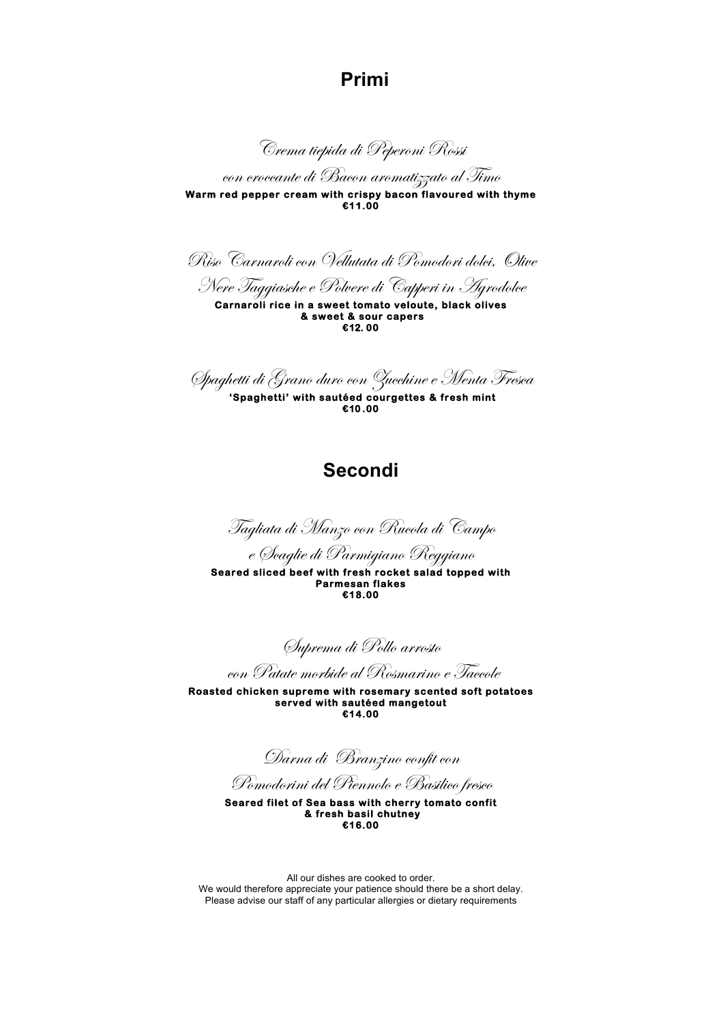### **Primi**

Crema tiepida di Peperoni Rossi

con croccante di Bacon aromatizzato al Timo **Warm red pepper cream with crispy bacon flavoured with thyme €11.00** 

Riso Carnaroli con Vellutata di Pomodori dolci, Olive

Nere Taggiasche e Polvere di Capperi in Agrodolce

**Carnaroli rice in a sweet tomato veloute, black olives & sweet & sour capers €12. 00** 

Spaghetti di Grano duro con Zucchine e Menta Fresca

 **'Spaghetti' with sautéed courgettes & fresh mint €10 .00** 

### **Secondi**

Tagliata di Manzo con Rucola di Campo

e Scaglie di Parmigiano Reggiano

**Seared sliced beef with fresh rocket salad topped with Parmesan flakes €18.00** 

Suprema di Pollo arrosto

con Patate morbide al Rosmarino e Taccole

**Roasted chicken supreme with rosemary scented soft potatoes served with sautéed mangetout €14.00** 

Darna di Branzino confit con

Pomodorini del Piennolo e Basilico fresco

**Seared filet of Sea bass with cherry tomato confit & fresh basil chutney €16.00** 

All our dishes are cooked to order. We would therefore appreciate your patience should there be a short delay. Please advise our staff of any particular allergies or dietary requirements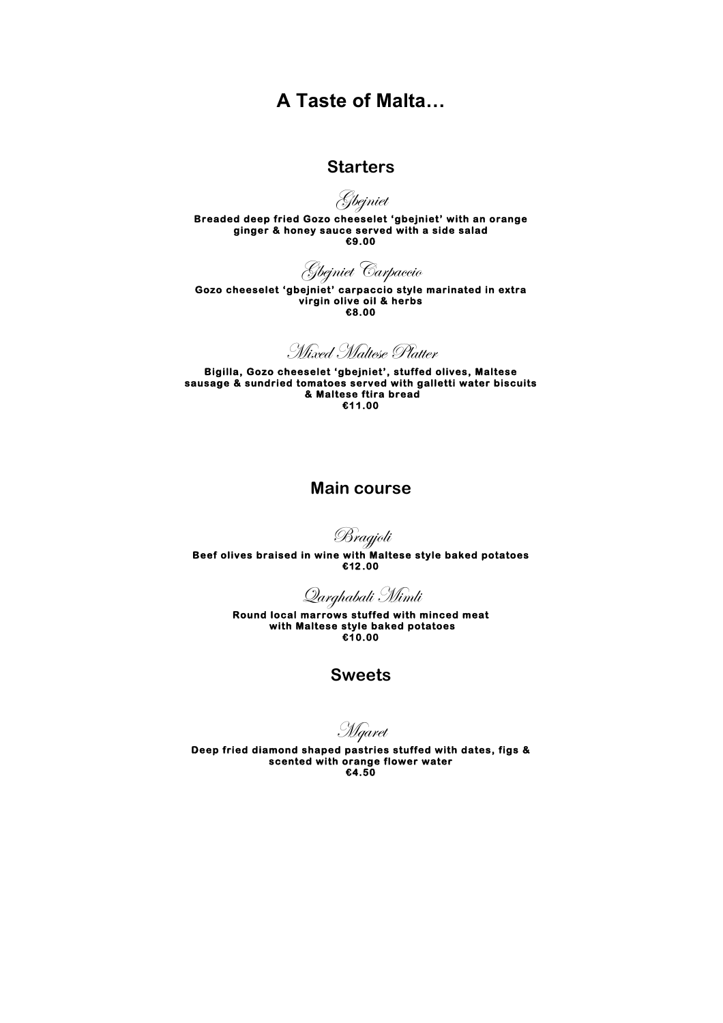## **A Taste of Malta…**

### **Starters**

Gbejniet

**Breaded deep fried Gozo cheeselet 'gbejniet' with an orange ginger & honey sauce served with a side salad €9.00** 

Gbejniet Carpaccio

**Gozo cheeselet 'gbejniet' carpaccio style marinated in extra virgin olive oil & herbs €8.00** 

Mixed Maltese Platter

**Bigilla, Gozo cheeselet 'gbejniet', stuffed olives, Maltese sausage & sundried tomatoes served with galletti water biscuits & Maltese ftira bread €11.00** 

### **Main course**

Bragjoli

**Beef olives braised in wine with Maltese style baked potatoes €12 .00** 

Qarghabali Mimli

**Round local marrows stuffed with minced meat with Maltese style baked potatoes €10.00** 

**Sweets**

Mqaret

**Deep fried diamond shaped pastries stuffed with dates, figs & scented with orange flower water €4.50**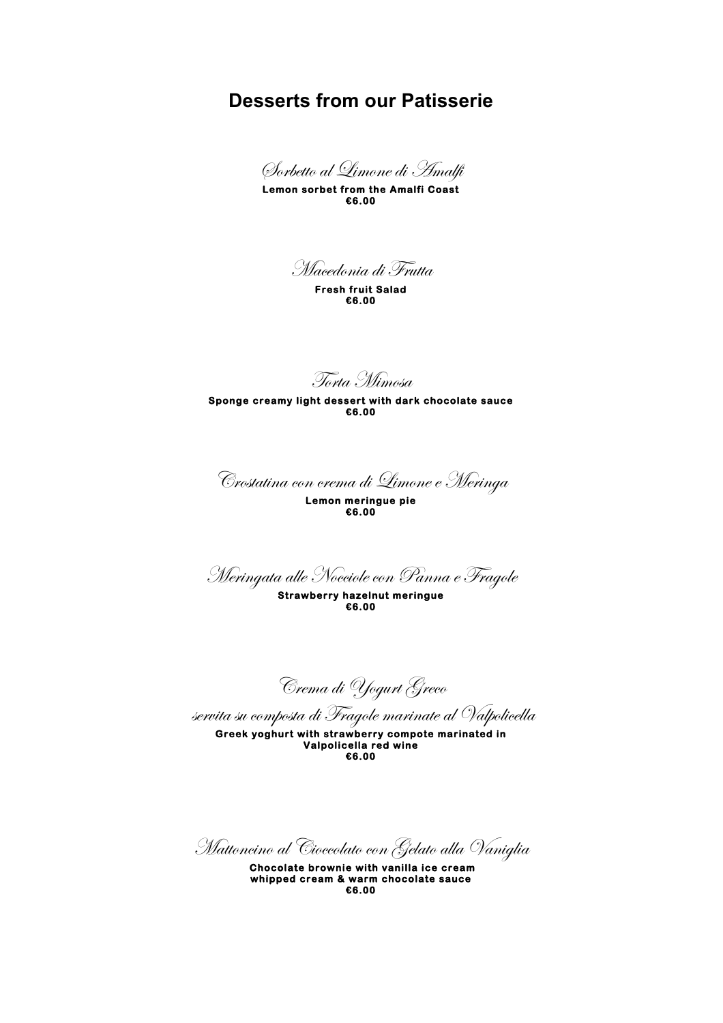### **Desserts from our Patisserie**

Sorbetto al Limone di Amalfi

**Lemon sorbet from the Amalfi Coast €6.00** 

Macedonia di Frutta

**Fresh fruit Salad €6.00** 

Torta Mimosa

**Sponge creamy light dessert with dark chocolate sauce €6.00** 

Crostatina con crema di Limone e Meringa

**Lemon meringue pie €6.00** 

Meringata alle Nocciole con Panna e Fragole

**Strawberry hazelnut meringue €6.00** 

Crema di Yogurt Greco

servita su composta di Fragole marinate al Valpolicella

**Greek yoghurt with strawberry compote marinated in Valpolicella red wine €6.00** 

Mattoncino al Cioccolato con Gelato alla Vaniglia

 **Chocolate brownie with vanilla ice cream whipped cream & warm chocolate sauce €6.00**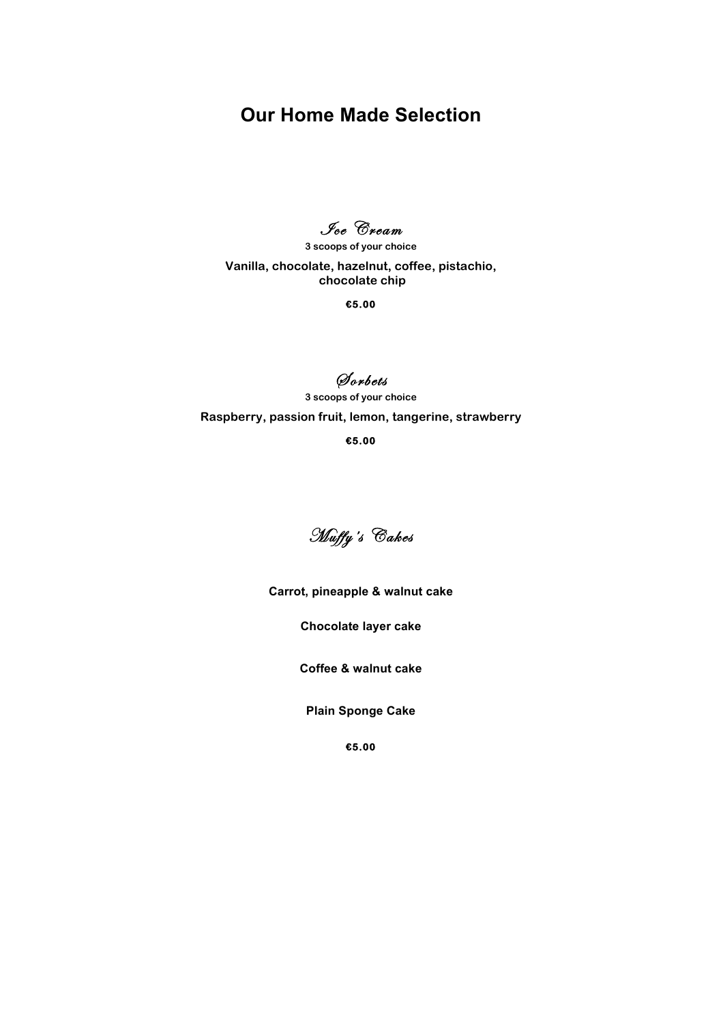# **Our Home Made Selection**

Jee Cream

**3 scoops of your choice**

**Vanilla, chocolate, hazelnut, coffee, pistachio, chocolate chip** 

**€5.00** 

## S orbets

**3 scoops of your choice Raspberry, passion fruit, lemon, tangerine, strawberry**

**€5.00** 



**Carrot, pineapple & walnut cake**

**Chocolate layer cake**

**Coffee & walnut cake**

**Plain Sponge Cake**

**€5.00**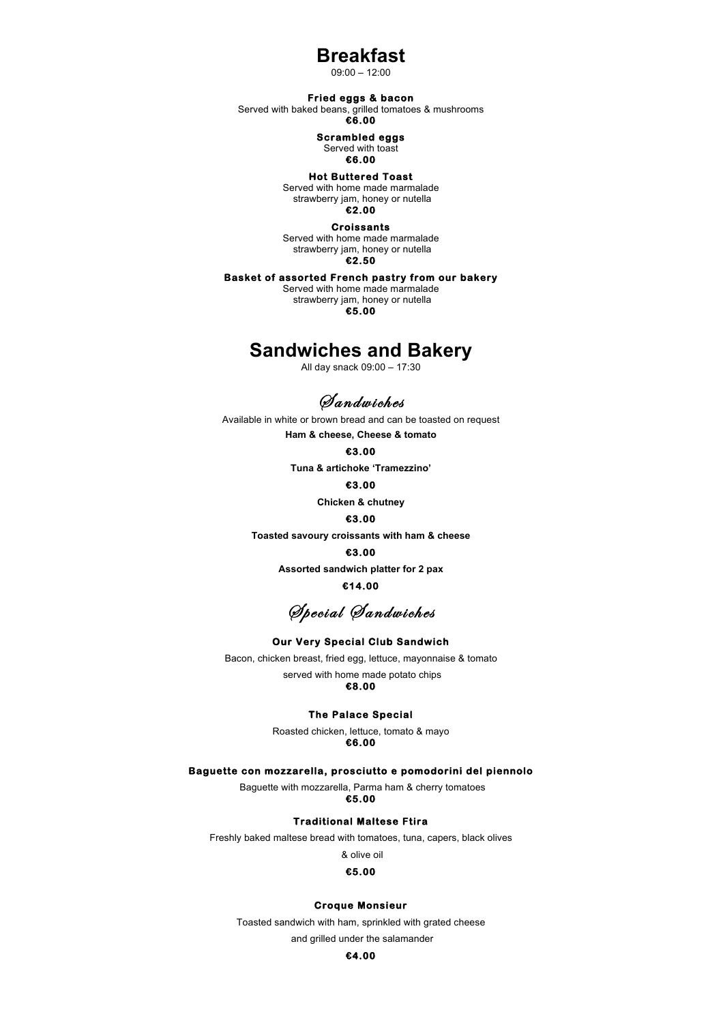### **Breakfast**

09:00 – 12:00

#### **Fried eggs & bacon**

Served with baked beans, grilled tomatoes & mushrooms

**€6.00** 

#### **Scrambled eggs**

Served with toast

### **€6.00**

#### **Hot Buttered Toast**

Served with home made marmalade strawberry jam, honey or nutella **€2.00** 

**Croissants**  Served with home made marmalade strawberry jam, honey or nutella **€2.50** 

#### **Basket of assorted French pastry from our bakery**

Served with home made marmalade strawberry jam, honey or nutella **€5.00**

### **Sandwiches and Bakery**

All day snack 09:00 – 17:30

*<i><u>Aandwiches</u>* 

Available in white or brown bread and can be toasted on request

**Ham & cheese, Cheese & tomato**

#### **€3.00**

**Tuna & artichoke 'Tramezzino'**

#### **€3.00**

**Chicken & chutney**

#### **€3.00**

**Toasted savoury croissants with ham & cheese**

#### **€3.00**

**Assorted sandwich platter for 2 pax**

#### **€14.00**

Special Sandwiches

#### **Our Very Special Club Sandwich**

Bacon, chicken breast, fried egg, lettuce, mayonnaise & tomato served with home made potato chips

### **€8.00**

#### **The Palace Special**

Roasted chicken, lettuce, tomato & mayo **€6.00**

#### **Baguette con mozzarella, prosciutto e pomodorini del piennolo**

Baguette with mozzarella, Parma ham & cherry tomatoes **€5.00** 

#### **Traditional Maltese Ftira**

Freshly baked maltese bread with tomatoes, tuna, capers, black olives

#### & olive oil

#### **€5.00**

#### **Croque Monsieur**

Toasted sandwich with ham, sprinkled with grated cheese

and grilled under the salamander

#### **€4.00**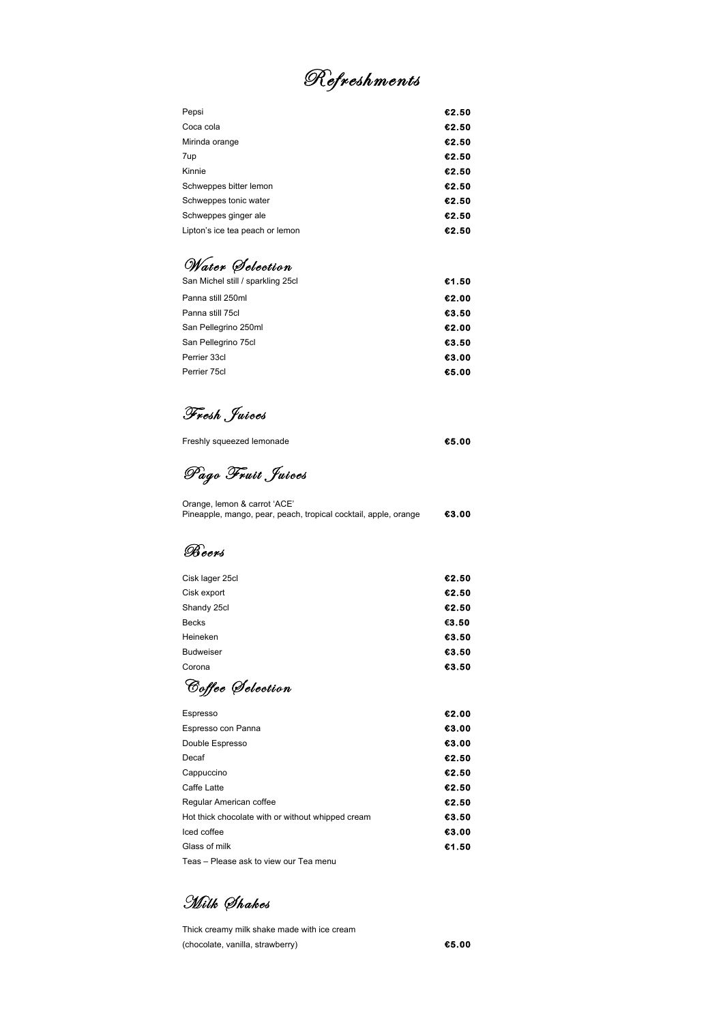# Refreshments

| €2.50 |
|-------|
| €2.50 |
| €2.50 |
| €2.50 |
| €2.50 |
| €2.50 |
| €2.50 |
| €2.50 |
| €2.50 |
|       |

# Water Selection

| San Michel still / sparkling 25cl | €1.50 |
|-----------------------------------|-------|
| Panna still 250ml                 | €2.00 |
| Panna still 75cl                  | €3.50 |
| San Pellegrino 250ml              | €2.00 |
| San Pellegrino 75cl               | €3.50 |
| Perrier 33cl                      | €3.00 |
| Perrier 75cl                      | €5.00 |
|                                   |       |

# Fresh Juices

| Freshly squeezed lemonade | €5.00 |
|---------------------------|-------|
|                           |       |

Pago Fruit Juices

| Orange, lemon & carrot 'ACE'                                    |       |
|-----------------------------------------------------------------|-------|
| Pineapple, mango, pear, peach, tropical cocktail, apple, orange | €3.00 |

### B eers

| Cisk lager 25cl  | €2.50 |
|------------------|-------|
| Cisk export      | €2.50 |
| Shandy 25cl      | €2.50 |
| <b>Becks</b>     | €3.50 |
| Heineken         | €3.50 |
| <b>Budweiser</b> | €3.50 |
| Corona           | €3.50 |
|                  |       |

C offee S election

| Espresso                                          | €2.00 |
|---------------------------------------------------|-------|
| Espresso con Panna                                | €3.00 |
| Double Espresso                                   | €3.00 |
| Decaf                                             | €2.50 |
| Cappuccino                                        | €2.50 |
| Caffe Latte                                       | €2.50 |
| Regular American coffee                           | €2.50 |
| Hot thick chocolate with or without whipped cream | €3.50 |
| Iced coffee                                       | €3.00 |
| Glass of milk                                     | €1.50 |
| Teas - Please ask to view our Tea menu            |       |

Milk Shakes

Thick creamy milk shake made with ice cream (chocolate, vanilla, strawberry) **€5.00**